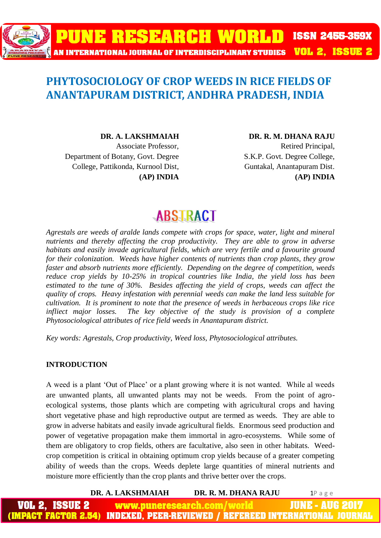# **PUNE RESEARCH WORLD ISSN 2455-359X** AN INTERNATIONAL JOURNAL OF INTERDISCIPLINARY STUDIES VOL 2, ISSUE 2

### **PHYTOSOCIOLOGY OF CROP WEEDS IN RICE FIELDS OF ANANTAPURAM DISTRICT, ANDHRA PRADESH, INDIA**

**DR. A. LAKSHMAIAH** Associate Professor, Department of Botany, Govt. Degree College, Pattikonda, Kurnool Dist,

**(AP) INDIA** 

**DR. R. M. DHANA RAJU**  Retired Principal, S.K.P. Govt. Degree College, Guntakal, Anantapuram Dist. **(AP) INDIA** 

## **ABSTRACT**

*Agrestals are weeds of aralde lands compete with crops for space, water, light and mineral nutrients and thereby affecting the crop productivity. They are able to grow in adverse habitats and easily invade agricultural fields, which are very fertile and a favourite ground for their colonization. Weeds have higher contents of nutrients than crop plants, they grow faster and absorb nutrients more efficiently. Depending on the degree of competition, weeds reduce crop yields by 10-25% in tropical countries like India, the yield loss has been estimated to the tune of 30%. Besides affecting the yield of crops, weeds can affect the quality of crops. Heavy infestation with perennial weeds can make the land less suitable for cultivation. It is prominent to note that the presence of weeds in herbaceous crops like rice infliect major losses.* The key objective of the study is provision of a complete *Phytosociological attributes of rice field weeds in Anantapuram district.*

*Key words: Agrestals, Crop productivity, Weed loss, Phytosociological attributes.*

#### **INTRODUCTION**

A weed is a plant 'Out of Place' or a plant growing where it is not wanted. While al weeds are unwanted plants, all unwanted plants may not be weeds. From the point of agroecological systems, those plants which are competing with agricultural crops and having short vegetative phase and high reproductive output are termed as weeds. They are able to grow in adverse habitats and easily invade agricultural fields. Enormous seed production and power of vegetative propagation make them immortal in agro-ecosystems. While some of them are obligatory to crop fields, others are facultative, also seen in other habitats. Weedcrop competition is critical in obtaining optimum crop yields because of a greater competing ability of weeds than the crops. Weeds deplete large quantities of mineral nutrients and moisture more efficiently than the crop plants and thrive better over the crops.

**DR. A. LAKSHMAIAH DR. R. M. DHANA RAJU** 1P a g e www.puneresearch.com JUNE - AUG (IMPACT FACTOR 2.54) **INDEXED. PEER-REVIEWED / REFEREED INTERNATIONAL**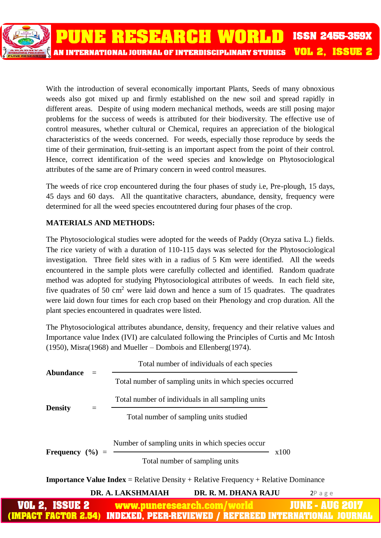With the introduction of several economically important Plants, Seeds of many obnoxious weeds also got mixed up and firmly established on the new soil and spread rapidly in different areas. Despite of using modern mechanical methods, weeds are still posing major problems for the success of weeds is attributed for their biodiversity. The effective use of control measures, whether cultural or Chemical, requires an appreciation of the biological characteristics of the weeds concerned. For weeds, especially those reproduce by seeds the time of their germination, fruit-setting is an important aspect from the point of their control. Hence, correct identification of the weed species and knowledge on Phytosociological attributes of the same are of Primary concern in weed control measures.

The weeds of rice crop encountered during the four phases of study i.e, Pre-plough, 15 days, 45 days and 60 days. All the quantitative characters, abundance, density, frequency were determined for all the weed species encoutntered during four phases of the crop.

### **MATERIALS AND METHODS:**

The Phytosociological studies were adopted for the weeds of Paddy (Oryza sativa L.) fields. The rice variety of with a duration of 110-115 days was selected for the Phytosociological investigation. Three field sites with in a radius of 5 Km were identified. All the weeds encountered in the sample plots were carefully collected and identified. Random quadrate method was adopted for studying Phytosociological attributes of weeds. In each field site, five quadrates of 50 cm<sup>2</sup> were laid down and hence a sum of 15 quadrates. The quadrates were laid down four times for each crop based on their Phenology and crop duration. All the plant species encountered in quadrates were listed.

The Phytosociological attributes abundance, density, frequency and their relative values and Importance value Index (IVI) are calculated following the Principles of Curtis and Mc Intosh (1950), Misra(1968) and Mueller – Dombois and Ellenberg(1974).

| <b>Abundance</b>    | Total number of individuals of each species                                                |            |
|---------------------|--------------------------------------------------------------------------------------------|------------|
|                     | Total number of sampling units in which species occurred                                   |            |
| <b>Density</b>      | Total number of individuals in all sampling units                                          |            |
|                     | Total number of sampling units studied                                                     |            |
|                     | Number of sampling units in which species occur                                            |            |
| Frequency $(\% )$ = | Total number of sampling units                                                             | x100       |
|                     | <b>Importance Value Index</b> = Relative Density + Relative Frequency + Relative Dominance |            |
|                     | DR. A. LAKSHMAIAH<br>DR. R. M. DHANA RAJU                                                  | $2P$ a g e |
| ICQII - D           | <b>ELECTRIC SACRAMENTATION AND MASSA FILIPS A</b>                                          |            |

<u>ICTOR 2.54) INDEXED. PEER-REVIEWED / REFEREED INTERNATIO</u>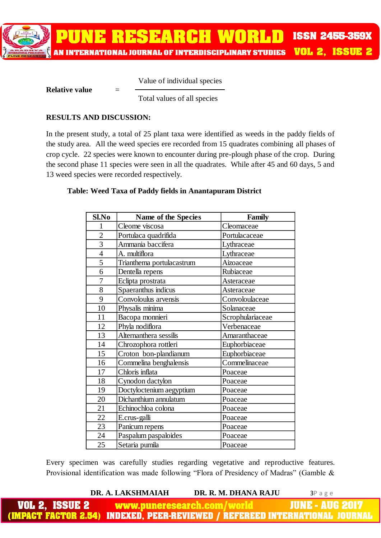AN INTERNATIONAL JOURNAL OF INTERDISCIPLINARY STUDIES

**RESEARCH WO** 

Value of individual species

#### **Relative value**

Total values of all species

#### **RESULTS AND DISCUSSION:**

In the present study, a total of 25 plant taxa were identified as weeds in the paddy fields of the study area. All the weed species ere recorded from 15 quadrates combining all phases of crop cycle. 22 species were known to encounter during pre-plough phase of the crop. During the second phase 11 species were seen in all the quadrates. While after 45 and 60 days, 5 and 13 weed species were recorded respectively.

#### **Table: Weed Taxa of Paddy fields in Anantapuram District**

| Sl.No          | <b>Name of the Species</b> | <b>Family</b>    |
|----------------|----------------------------|------------------|
| $\mathbf{1}$   | Cleome viscosa             | Cleomaceae       |
| $\overline{2}$ | Portulaca quadrifida       | Portulacaceae    |
| $\overline{3}$ | Ammania baccifera          | Lythraceae       |
| $\overline{4}$ | A. multiflora              | Lythraceae       |
| 5              | Trianthema portulacastrum  | Aizoaceae        |
| 6              | Dentella repens            | Rubiaceae        |
| 7              | Eclipta prostrata          | Asteraceae       |
| 8              | Spaeranthus indicus        | Asteraceae       |
| 9              | Convoloulus arvensis       | Convoloulaceae   |
| 10             | Physalis minima            | Solanaceae       |
| 11             | Bacopa monnieri            | Scrophulariaceae |
| 12             | Phyla nodiflora            | Verbenaceae      |
| 13             | Alternanthera sessilis     | Amaranthaceae    |
| 14             | Chrozophora rottleri       | Euphorbiaceae    |
| 15             | Croton bon-plandianum      | Euphorbiaceae    |
| 16             | Commelina benghalensis     | Commelinaceae    |
| 17             | Chloris inflata            | Poaceae          |
| 18             | Cynodon dactylon           | Poaceae          |
| 19             | Doctyloctenium aegyptium   | Poaceae          |
| 20             | Dichanthium annulatum      | Poaceae          |
| 21             | Echinochloa colona         | Poaceae          |
| 22             | E.crus-galli               | Poaceae          |
| 23             | Panicum repens             | Poaceae          |
| 24             | Paspalum paspaloides       | Poaceae          |
| 25             | Setaria pumila             | Poaceae          |

Every specimen was carefully studies regarding vegetative and reproductive features. Provisional identification was made following "Flora of Presidency of Madras" (Gamble &

**DR. A. LAKSHMAIAH DR. R. M. DHANA RAJU** 3P a g e

**ISSN 2455-359X** 

**VOL 2, ISSUE 2** 

www.puneresearch.com AUF **INDEXED. PEER-REVIEWED /** REFEREED INTERNA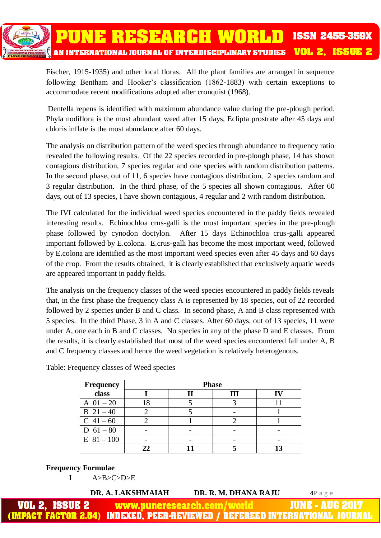

Fischer, 1915-1935) and other local floras. All the plant families are arranged in sequence following Bentham and Hooker's classification (1862-1883) with certain exceptions to accommodate recent modifications adopted after cronquist (1968).

Dentella repens is identified with maximum abundance value during the pre-plough period. Phyla nodiflora is the most abundant weed after 15 days, Eclipta prostrate after 45 days and chloris inflate is the most abundance after 60 days.

The analysis on distribution pattern of the weed species through abundance to frequency ratio revealed the following results. Of the 22 species recorded in pre-plough phase, 14 has shown contagious distribution, 7 species regular and one species with random distribution patterns. In the second phase, out of 11, 6 species have contagious distribution, 2 species random and 3 regular distribution. In the third phase, of the 5 species all shown contagious. After 60 days, out of 13 species, I have shown contagious, 4 regular and 2 with random distribution.

The IVI calculated for the individual weed species encountered in the paddy fields revealed interesting results. Echinochloa crus-galli is the most important species in the pre-plough phase followed by cynodon doctylon. After 15 days Echinochloa crus-galli appeared important followed by E.colona. E.crus-galli has become the most important weed, followed by E.colona are identified as the most important weed species even after 45 days and 60 days of the crop. From the results obtained, it is clearly established that exclusively aquatic weeds are appeared important in paddy fields.

The analysis on the frequency classes of the weed species encountered in paddy fields reveals that, in the first phase the frequency class A is represented by 18 species, out of 22 recorded followed by 2 species under B and C class. In second phase, A and B class represented with 5 species. In the third Phase, 3 in A and C classes. After 60 days, out of 13 species, 11 were under A, one each in B and C classes. No species in any of the phase D and E classes. From the results, it is clearly established that most of the weed species encountered fall under A, B and C frequency classes and hence the weed vegetation is relatively heterogenous.

| Frequency     | <b>Phase</b> |   |  |  |  |  |  |  |  |  |  |  |  |  |
|---------------|--------------|---|--|--|--|--|--|--|--|--|--|--|--|--|
| class         |              | Ш |  |  |  |  |  |  |  |  |  |  |  |  |
| A $01 - 20$   |              |   |  |  |  |  |  |  |  |  |  |  |  |  |
| $B \ 21 - 40$ |              |   |  |  |  |  |  |  |  |  |  |  |  |  |
| $C$ 41 – 60   |              |   |  |  |  |  |  |  |  |  |  |  |  |  |
| D $61 - 80$   |              |   |  |  |  |  |  |  |  |  |  |  |  |  |
| $E$ 81 - 100  |              |   |  |  |  |  |  |  |  |  |  |  |  |  |
|               |              |   |  |  |  |  |  |  |  |  |  |  |  |  |

Table: Frequency classes of Weed species

#### **Frequency Formulae**

I A>B>C>D>E

|                       | DR. A. LAKSHMAIAH | DR. R. M. DHANA RAJU       | 4Page                                                                        |
|-----------------------|-------------------|----------------------------|------------------------------------------------------------------------------|
| <b>VOL 2, ISSUE 2</b> |                   | www.puneresearch.com/world | <b>NUME - AUG 2017 \</b>                                                     |
|                       |                   |                            | (IMPACT FACTOR 2.54) INDEXED, PEER-REVIEWED / REFEREED INTERNATIONAL JOURNAL |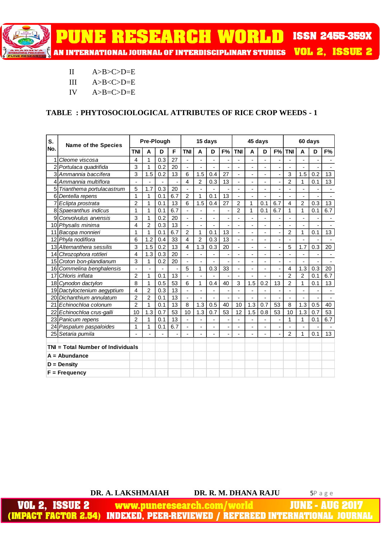**E RESEARCH WORLD ISSN 2455-359X VOL 2, ISSUE 2** AN INTERNATIONAL JOURNAL OF INTERDISCIPLINARY STUDIES

- II  $A>B>C>D=E$
- III A>B<C>D=E
- IV A>B=C>D=E

#### **TABLE : PHYTOSOCIOLOGICAL ATTRIBUTES OF RICE CROP WEEDS - 1**

| S.              | <b>Name of the Species</b><br>No.<br><b>TNI</b> |                | Pre-Plough     |                |     | 15 days                  |                |     |    |                          | 45 days                  |                              |                          | 60 days                  |                              |                          |     |  |
|-----------------|-------------------------------------------------|----------------|----------------|----------------|-----|--------------------------|----------------|-----|----|--------------------------|--------------------------|------------------------------|--------------------------|--------------------------|------------------------------|--------------------------|-----|--|
|                 |                                                 |                | A              | D              | F   | <b>TNI</b>               | A              | D   | F% | <b>TNI</b>               | A                        | D                            | F%                       | <b>TNI</b>               | A                            | D                        | F%  |  |
| 1               | Cleome viscosa                                  | 4              | 1              | 0.3            | 27  | $\blacksquare$           | ٠              | ٠   | ä, | ÷,                       | $\overline{\phantom{a}}$ | $\frac{1}{2}$                | $\overline{\phantom{0}}$ |                          | $\overline{\phantom{a}}$     | $\overline{\phantom{a}}$ |     |  |
|                 | Portulaca quadrifida                            | 3              | $\mathbf{1}$   | 0.2            | 20  | $\overline{a}$           | $\overline{a}$ | ÷,  |    | $\overline{a}$           | ÷.                       | $\overline{a}$               | L,                       | $\overline{a}$           | ÷,                           |                          |     |  |
|                 | 3 Ammannia baccifera                            | 3              | 1.5            | 0.2            | 13  | 6                        | 1.5            | 0.4 | 27 | ä,                       | $\overline{\phantom{0}}$ | ٠                            | ÷,                       | 3                        | 1.5                          | 0.2                      | 13  |  |
| 4               | Ammannia multiflora                             | ä,             |                | $\blacksquare$ |     | 4                        | 2              | 0.3 | 13 | $\overline{\phantom{a}}$ | $\overline{\phantom{a}}$ | $\overline{a}$               |                          | $\overline{2}$           | 1                            | 0.1                      | 13  |  |
| 5               | Trianthema portulacastrum                       | 5              | 1.7            | 0.3            | 20  |                          | $\frac{1}{2}$  |     | -  |                          |                          | -                            |                          |                          | $\qquad \qquad \blacksquare$ |                          |     |  |
| 6               | Dentella repens                                 | 1              | $\mathbf{1}$   | 0.1            | 6.7 | $\overline{2}$           | 1              | 0.1 | 13 | ÷,                       | $\overline{\phantom{m}}$ | L                            | ÷,                       |                          | $\blacksquare$               |                          |     |  |
| 7               | Eclipta prostrata                               | $\overline{2}$ | $\mathbf{1}$   | 0.1            | 13  | 6                        | 1.5            | 0.4 | 27 | $\overline{c}$           | 1                        | 0.1                          | 6.7                      | 4                        | $\overline{2}$               | 0.3                      | 13  |  |
| 8               | Spaeranthus indicus                             | 1              | $\mathbf{1}$   | 0.1            | 6.7 | ä,                       | $\overline{a}$ |     |    | $\overline{2}$           | 1                        | 0.1                          | 6.7                      | 1                        | 1                            | 0.1                      | 6.7 |  |
| 9               | Convolvulus arvensis                            | 3              | 1              | 0.2            | 20  | $\overline{a}$           | $\overline{a}$ |     |    |                          | ä,                       | $\overline{\phantom{m}}$     |                          |                          | ä,                           |                          |     |  |
| 10              | Physalis minima                                 | 4              | $\overline{2}$ | 0.3            | 13  |                          | $\frac{1}{2}$  | ٠   | ٠  |                          |                          | $\qquad \qquad \blacksquare$ |                          |                          | $\blacksquare$               |                          |     |  |
| 11              | Bacopa monnieri                                 | 1              | 1              | 0.1            | 6.7 | $\overline{2}$           | 1              | 0.1 | 13 | $\overline{a}$           | ٠                        | ٠                            | ÷.                       | $\overline{2}$           | 1                            | 0.1                      | 13  |  |
|                 | 12 Phyla nodiflora                              | 6              | 1.2            | 0.4            | 33  | 4                        | $\overline{c}$ | 0.3 | 13 | ÷,                       | L,                       | ٠                            |                          |                          |                              |                          |     |  |
|                 | 13 Alternanthera sessilis                       | 3              | 1.5            | 0.2            | 13  | 4                        | 1.3            | 0.3 | 20 | ÷,                       | ÷,                       | ÷,                           | ÷,                       | 5                        | 1.7                          | 0.3                      | 20  |  |
| 14              | Chrozophora rottleri                            | 4              | 1.3            | 0.3            | 20  | $\overline{a}$           |                |     |    |                          |                          | $\overline{a}$               |                          |                          |                              |                          |     |  |
| 15I             | Croton bon-plandianum                           | 3              | 1              | 0.2            | 20  | $\overline{\phantom{a}}$ | ٠              | ÷,  | ä, | ٠                        | ۰                        | -                            | ٠                        | $\overline{\phantom{m}}$ | ٠                            |                          |     |  |
| 16              | Commelina benghalensis                          | L,             | $\blacksquare$ | $\overline{a}$ |     | 5                        | 1              | 0.3 | 33 | $\blacksquare$           | $\blacksquare$           | ٠                            | ÷.                       | 4                        | 1.3                          | 0.3                      | 20  |  |
| 17              | Chloris inflata                                 | 2              | 1              | 0.1            | 13  | $\overline{a}$           |                |     |    |                          |                          |                              |                          | $\overline{2}$           | $\overline{2}$               | 0.1                      | 6.7 |  |
| 18              | Cynodon dactylon                                | 8              | $\mathbf{1}$   | 0.5            | 53  | 6                        | $\mathbf 1$    | 0.4 | 40 | 3                        | 1.5                      | 0.2                          | 13                       | $\overline{2}$           | 1                            | 0.1                      | 13  |  |
| 19              | Dactyloctenium aegyptium                        | 4              | $\overline{2}$ | 0.3            | 13  | $\overline{a}$           | $\overline{a}$ |     | Ĭ. |                          |                          | L,                           |                          |                          | ä,                           |                          |     |  |
| 20              | Dichanthium annulatum                           | 2              | $\overline{2}$ | 0.1            | 13  | $\overline{\phantom{a}}$ | $\frac{1}{2}$  | ÷,  | ٠  | Ĭ.                       | ٠                        | $\frac{1}{2}$                | ٠                        | ä,                       | ٠                            | ٠                        |     |  |
| 21              | Echinochloa colonum                             | $\overline{2}$ | 1              | 0.1            | 13  | 8                        | 1.3            | 0.5 | 40 | 10                       | 1.3                      | 0.7                          | 53                       | 8                        | 1.3                          | 0.5                      | 40  |  |
|                 | 22 Echinochloa crus-galli                       | 10             | 1.3            | 0.7            | 53  | 10                       | 1.3            | 0.7 | 53 | 12                       | 1.5                      | 0.8                          | 53                       | 10                       | 1.3                          | 0.7                      | 53  |  |
|                 | 23 Panicum repens                               | $\overline{2}$ | $\mathbf{1}$   | 0.1            | 13  | ä,                       | $\overline{a}$ | L,  |    | $\overline{\phantom{a}}$ | $\overline{\phantom{a}}$ | ٠                            | $\overline{\phantom{0}}$ | $\mathbf{1}$             | 1                            | 0.1                      | 6.7 |  |
|                 | 24 Paspalum paspaloides                         | 1              | 1              | 0.1            | 6.7 |                          | $\overline{a}$ |     | Ĭ. |                          |                          | $\overline{a}$               |                          |                          | ä,                           |                          |     |  |
|                 | 25 Setaria pumila                               | L.             |                | ÷,             |     | ÷,                       | $\overline{a}$ | ÷,  | ÷, | $\overline{a}$           | $\blacksquare$           | ÷,                           | $\overline{\phantom{a}}$ | $\overline{2}$           | 1                            | 0.1                      | 13  |  |
|                 |                                                 |                |                |                |     |                          |                |     |    |                          |                          |                              |                          |                          |                              |                          |     |  |
|                 | TNI = Total Number of Individuals               |                |                |                |     |                          |                |     |    |                          |                          |                              |                          |                          |                              |                          |     |  |
|                 | $A = Abundance$                                 |                |                |                |     |                          |                |     |    |                          |                          |                              |                          |                          |                              |                          |     |  |
|                 | $D = Density$                                   |                |                |                |     |                          |                |     |    |                          |                          |                              |                          |                          |                              |                          |     |  |
| $F = Frequency$ |                                                 |                |                |                |     |                          |                |     |    |                          |                          |                              |                          |                          |                              |                          |     |  |

**DR. A. LAKSHMAIAH DR. R. M. DHANA RAJU** 5P a g e

**VOL 2, ISSUE 2 JUNE - AUG 2017** www.puneresearch.com/world (IMPACT FACTOR 2.54) INDEXED. PEER-REVIEWED / REFEREED INTERNATIONAL JOUF